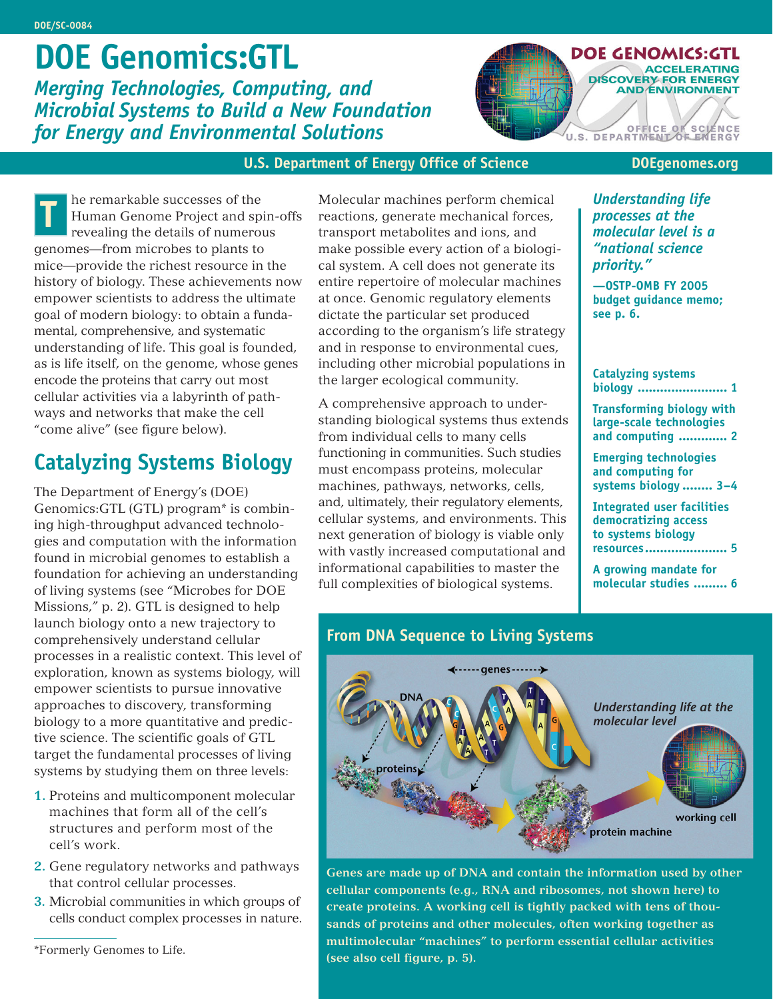# **DOE Genomics:GTL**

*Merging Technologies, Computing, and Microbial Systems to Build a New Foundation for Energy and Environmental Solutions*



#### **U.S. Department of Energy Office of Science**

 **DOEgenomes.org**

he remarkable successes of the Human Genome Project and spin-offs revealing the details of numerous genomes—from microbes to plants to mice—provide the richest resource in the history of biology. These achievements now empower scientists to address the ultimate goal of modern biology: to obtain a fundamental, comprehensive, and systematic understanding of life. This goal is founded, as is life itself, on the genome, whose genes encode the proteins that carry out most cellular activities via a labyrinth of pathways and networks that make the cell "come alive" (see figure below). **The remarkable successes of the**<br> **The** *Teman Genome Project and spin-offs* reactions, generate mechanical forces,<br> **The** *Processes at the*<br> **The** *Processes at the***<br>** *Processes at the***<br>** *Processes at the***<br>** *Processes at* 

### **Catalyzing Systems Biology**

The Department of Energy's (DOE) Genomics:GTL (GTL) program\* is combining high-throughput advanced technologies and computation with the information found in microbial genomes to establish a foundation for achieving an understanding of living systems (see "Microbes for DOE Missions," p. 2). GTL is designed to help launch biology onto a new trajectory to comprehensively understand cellular processes in a realistic context. This level of exploration, known as systems biology, will empower scientists to pursue innovative approaches to discovery, transforming biology to a more quantitative and predictive science. The scientific goals of GTL target the fundamental processes of living systems by studying them on three levels:

- **1.** Proteins and multicomponent molecular machines that form all of the cell's structures and perform most of the cell's work.
- **2.** Gene regulatory networks and pathways that control cellular processes.
- **3.** Microbial communities in which groups of cells conduct complex processes in nature.

Molecular machines perform chemical reactions, generate mechanical forces, transport metabolites and ions, and make possible every action of a biological system. A cell does not generate its entire repertoire of molecular machines at once. Genomic regulatory elements dictate the particular set produced according to the organism's life strategy and in response to environmental cues, including other microbial populations in the larger ecological community.

A comprehensive approach to understanding biological systems thus extends from individual cells to many cells functioning in communities. Such studies must encompass proteins, molecular machines, pathways, networks, cells, and, ultimately, their regulatory elements, cellular systems, and environments. This next generation of biology is viable only with vastly increased computational and informational capabilities to master the full complexities of biological systems.

**From DNA Sequence to Living Systems**

*processes at the molecular level is a "national science priority."*

**—OSTP-OMB FY 2005 budget guidance memo; see p. 6.**

**Catalyzing systems biology ........................ 1**

**Transforming biology with large-scale technologies and computing ............. 2**

**Emerging technologies and computing for systems biology ........ 3–4**

**Integrated user facilities democratizing access to systems biology resources...................... 5**

**A growing mandate for molecular studies ......... 6**



**Genes are made up of DNA and contain the information used by other cellular components (e.g., RNA and ribosomes, not shown here) to create proteins. A working cell is tightly packed with tens of thousands of proteins and other molecules, often working together as multimolecular "machines" to perform essential cellular activities (see also cell figure, p. 5).**

<sup>\*</sup>Formerly Genomes to Life.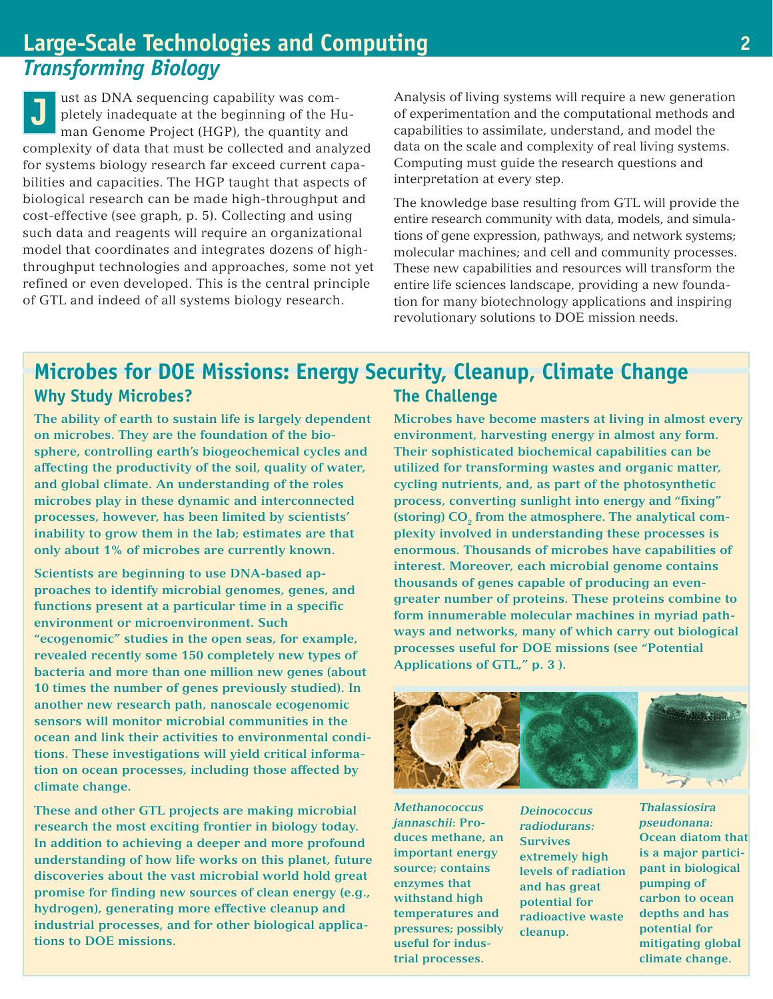#### **Large-Scale Technologies and Computing** *Transforming Biology*

**J** ust as DNA sequencing capability was completely inadequate at the beginning of the Human Genome Project (HGP), the quantity and complexity of data that must be collected and analyzed for systems biology research far exceed current capabilities and capacities. The HGP taught that aspects of biological research can be made high-throughput and cost-effective (see graph, p. 5). Collecting and using such data and reagents will require an organizational model that coordinates and integrates dozens of highthroughput technologies and approaches, some not yet refined or even developed. This is the central principle of GTL and indeed of all systems biology research.

Analysis of living systems will require a new generation of experimentation and the computational methods and capabilities to assimilate, understand, and model the data on the scale and complexity of real living systems. Computing must guide the research questions and interpretation at every step.

The knowledge base resulting from GTL will provide the entire research community with data, models, and simulations of gene expression, pathways, and network systems; molecular machines; and cell and community processes. These new capabilities and resources will transform the entire life sciences landscape, providing a new foundation for many biotechnology applications and inspiring revolutionary solutions to DOE mission needs.

#### **Why Study Microbes? Microbes for DOE Missions: Energy Security, Cleanup, Climate Change The Challenge**

**The ability of earth to sustain life is largely dependent on microbes. They are the foundation of the biosphere, controlling earth's biogeochemical cycles and affecting the productivity of the soil, quality of water, and global climate. An understanding of the roles microbes play in these dynamic and interconnected processes, however, has been limited by scientists' inability to grow them in the lab; estimates are that only about 1% of microbes are currently known.**

**Scientists are beginning to use DNA-based approaches to identify microbial genomes, genes, and functions present at a particular time in a specific environment or microenvironment. Such "ecogenomic" studies in the open seas, for example, revealed recently some 150 completely new types of bacteria and more than one million new genes (about 10 times the number of genes previously studied). In another new research path, nanoscale ecogenomic sensors will monitor microbial communities in the ocean and link their activities to environmental conditions. These investigations will yield critical information on ocean processes, including those affected by climate change.**

**These and other GTL projects are making microbial research the most exciting frontier in biology today. In addition to achieving a deeper and more profound understanding of how life works on this planet, future discoveries about the vast microbial world hold great promise for finding new sources of clean energy (e.g., hydrogen), generating more effective cleanup and industrial processes, and for other biological applications to DOE missions.**

**Microbes have become masters at living in almost every environment, harvesting energy in almost any form. Their sophisticated biochemical capabilities can be utilized for transforming wastes and organic matter, cycling nutrients, and, as part of the photosynthetic process, converting sunlight into energy and "fixing"** (storing) CO<sub>2</sub> from the atmosphere. The analytical com**plexity involved in understanding these processes is enormous. Thousands of microbes have capabilities of interest. Moreover, each microbial genome contains thousands of genes capable of producing an evengreater number of proteins. These proteins combine to form innumerable molecular machines in myriad pathways and networks, many of which carry out biological processes useful for DOE missions (see "Potential Applications of GTL," p. 3 ).**



*Methanococcus jannaschii***: Produces methane, an important energy source; contains enzymes that withstand high temperatures and pressures; possibly useful for industrial processes.**

*Deinococcus radiodurans:* **Survives extremely high levels of radiation and has great potential for radioactive waste cleanup.**

*Thalassiosira pseudonana:* **Ocean diatom that is a major participant in biological pumping of carbon to ocean depths and has potential for mitigating global climate change.**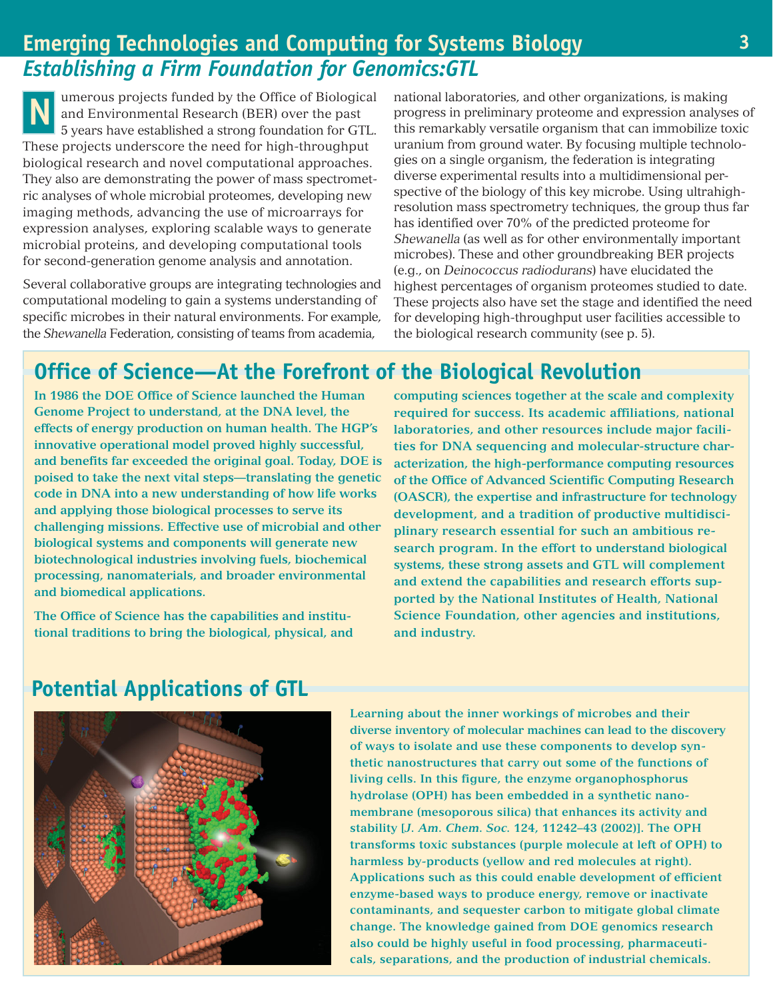#### **Emerging Technologies and Computing for Systems Biology** *Establishing a Firm Foundation for Genomics:GTL*

**N** umerous projects funded by the Office of Biological and Environmental Research (BER) over the past 5 years have established a strong foundation for GTL. These projects underscore the need for high-throughput biological research and novel computational approaches. They also are demonstrating the power of mass spectrometric analyses of whole microbial proteomes, developing new imaging methods, advancing the use of microarrays for expression analyses, exploring scalable ways to generate microbial proteins, and developing computational tools for second-generation genome analysis and annotation.

Several collaborative groups are integrating technologies and computational modeling to gain a systems understanding of specific microbes in their natural environments. For example, the *Shewanella* Federation, consisting of teams from academia,

national laboratories, and other organizations, is making progress in preliminary proteome and expression analyses of this remarkably versatile organism that can immobilize toxic uranium from ground water. By focusing multiple technologies on a single organism, the federation is integrating diverse experimental results into a multidimensional perspective of the biology of this key microbe. Using ultrahighresolution mass spectrometry techniques, the group thus far has identified over 70% of the predicted proteome for *Shewanella* (as well as for other environmentally important microbes). These and other groundbreaking BER projects (e.g., on *Deinococcus radiodurans*) have elucidated the highest percentages of organism proteomes studied to date. These projects also have set the stage and identified the need for developing high-throughput user facilities accessible to the biological research community (see p. 5).

### **Office of Science—At the Forefront of the Biological Revolution**

**In 1986 the DOE Office of Science launched the Human Genome Project to understand, at the DNA level, the effects of energy production on human health. The HGP's innovative operational model proved highly successful, and benefits far exceeded the original goal. Today, DOE is poised to take the next vital steps—translating the genetic code in DNA into a new understanding of how life works and applying those biological processes to serve its challenging missions. Effective use of microbial and other biological systems and components will generate new biotechnological industries involving fuels, biochemical processing, nanomaterials, and broader environmental and biomedical applications.**

**The Office of Science has the capabilities and institutional traditions to bring the biological, physical, and** **computing sciences together at the scale and complexity required for success. Its academic affiliations, national laboratories, and other resources include major facilities for DNA sequencing and molecular-structure characterization, the high-performance computing resources of the Office of Advanced Scientific Computing Research (OASCR), the expertise and infrastructure for technology development, and a tradition of productive multidisciplinary research essential for such an ambitious research program. In the effort to understand biological systems, these strong assets and GTL will complement and extend the capabilities and research efforts supported by the National Institutes of Health, National Science Foundation, other agencies and institutions, and industry.**

#### **Potential Applications of GTL**



**Learning about the inner workings of microbes and their diverse inventory of molecular machines can lead to the discovery of ways to isolate and use these components to develop synthetic nanostructures that carry out some of the functions of living cells. In this figure, the enzyme organophosphorus hydrolase (OPH) has been embedded in a synthetic nanomembrane (mesoporous silica) that enhances its activity and stability [***J. Am. Chem. Soc.* **124, 11242–43 (2002)]. The OPH transforms toxic substances (purple molecule at left of OPH) to harmless by-products (yellow and red molecules at right). Applications such as this could enable development of efficient enzyme-based ways to produce energy, remove or inactivate contaminants, and sequester carbon to mitigate global climate change. The knowledge gained from DOE genomics research also could be highly useful in food processing, pharmaceuticals, separations, and the production of industrial chemicals.**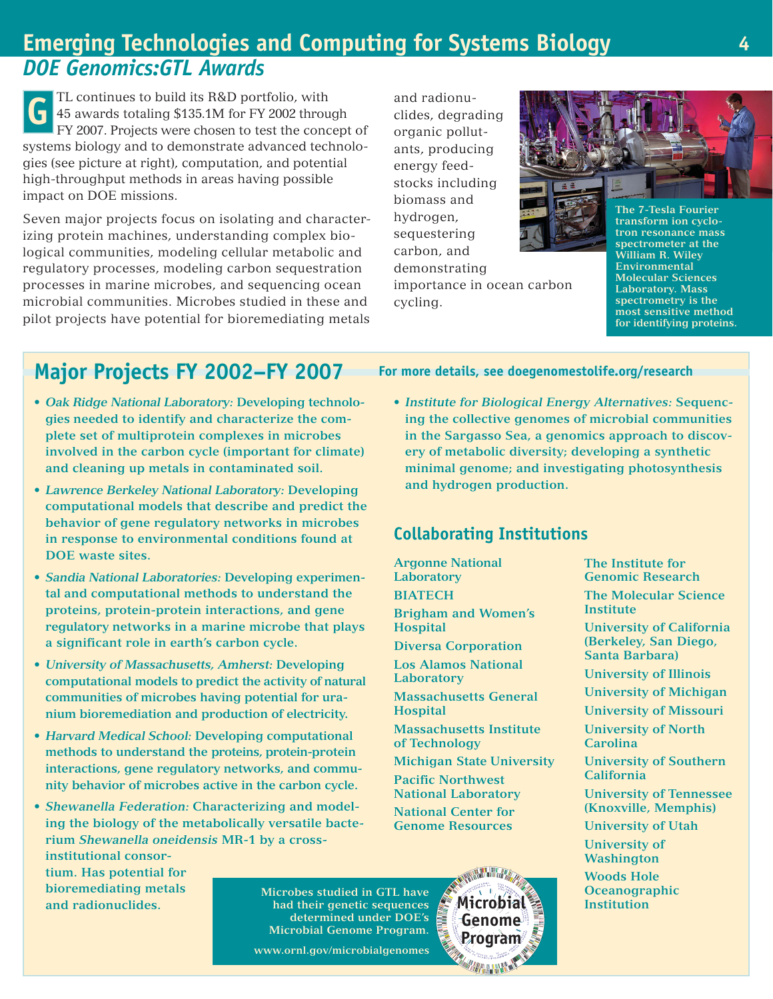### **Emerging Technologies and Computing for Systems Biology** *DOE Genomics:GTL Awards*

**G** TL continues to build its R&D portfolio, with 45 awards totaling \$135.1M for FY 2002 through FY 2007. Projects were chosen to test the concept of systems biology and to demonstrate advanced technologies (see picture at right), computation, and potential high-throughput methods in areas having possible impact on DOE missions.

Seven major projects focus on isolating and characterizing protein machines, understanding complex biological communities, modeling cellular metabolic and regulatory processes, modeling carbon sequestration processes in marine microbes, and sequencing ocean microbial communities. Microbes studied in these and pilot projects have potential for bioremediating metals and radionuclides, degrading organic pollutants, producing energy feedstocks including biomass and hydrogen, sequestering carbon, and demonstrating importance in ocean carbon cycling.



**transform ion cyclotron resonance mass spectrometer at the William R. Wiley Environmental Molecular Sciences Laboratory. Mass spectrometry is the most sensitive method for identifying proteins.**

# **Major Projects FY 2002–FY 2007**

- **•** *Oak Ridge National Laboratory:* **Developing technologies needed to identify and characterize the complete set of multiprotein complexes in microbes involved in the carbon cycle (important for climate) and cleaning up metals in contaminated soil.**
- **•** *Lawrence Berkeley National Laboratory:* **Developing computational models that describe and predict the behavior of gene regulatory networks in microbes in response to environmental conditions found at DOE waste sites.**
- **•** *Sandia National Laboratories:* **Developing experimental and computational methods to understand the proteins, protein-protein interactions, and gene regulatory networks in a marine microbe that plays a significant role in earth's carbon cycle.**
- **•** *University of Massachusetts, Amherst:* **Developing computational models to predict the activity of natural communities of microbes having potential for uranium bioremediation and production of electricity.**
- **•** *Harvard Medical School:* **Developing computational methods to understand the proteins, protein-protein interactions, gene regulatory networks, and community behavior of microbes active in the carbon cycle.**
- **•** *Shewanella Federation:* **Characterizing and modeling the biology of the metabolically versatile bacterium** *Shewanella oneidensis* **MR-1 by a crossinstitutional consor-**

**tium. Has potential for bioremediating metals and radionuclides.**

**Microbes studied in GTL have had their genetic sequences determined under DOE's Microbial Genome Program.**

**Program www.ornl.gov/microbialgenomes**

#### **For more details, see doegenomestolife.org/research**

**•** *Institute for Biological Energy Alternatives:* **Sequencing the collective genomes of microbial communities in the Sargasso Sea, a genomics approach to discovery of metabolic diversity; developing a synthetic minimal genome; and investigating photosynthesis and hydrogen production.**

#### **Collaborating Institutions**

**Argonne National Laboratory BIATECH Brigham and Women's Hospital**

- **Diversa Corporation Los Alamos National**
- **Laboratory Massachusetts General Hospital**

**Massachusetts Institute of Technology**

**Michigan State University**

**Microbial Genome**

**Pacific Northwest National Laboratory National Center for Genome Resources**

**The Institute for Genomic Research**

**The Molecular Science Institute**

**University of California (Berkeley, San Diego, Santa Barbara)**

**University of Illinois**

**University of Michigan**

**University of Missouri**

**University of North Carolina**

**University of Southern California**

**University of Tennessee (Knoxville, Memphis)**

**University of Utah**

**University of Washington**

**Woods Hole Oceanographic Institution**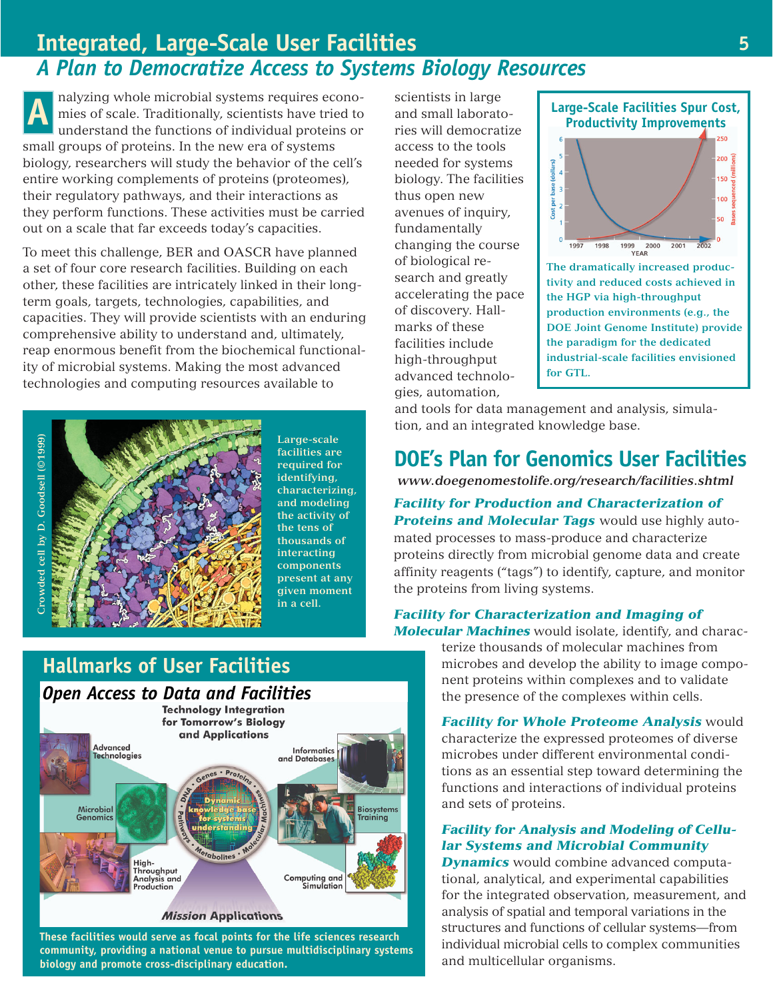#### **Integrated, Large-Scale User Facilities** *A Plan to Democratize Access to Systems Biology Resources*

nalyzing whole microbial systems requires economies of scale. Traditionally, scientists have tried to understand the functions of individual proteins or small groups of proteins. In the new era of systems biology, researchers will study the behavior of the cell's entire working complements of proteins (proteomes), their regulatory pathways, and their interactions as they perform functions. These activities must be carried out on a scale that far exceeds today's capacities. alyzing whole microbial systems requires econosition is extendists in large<br>mies of scale. Traditionally, scientists have tried to and small laborat<br>understand the functions of individual proteins or the will democra

To meet this challenge, BER and OASCR have planned a set of four core research facilities. Building on each other, these facilities are intricately linked in their longterm goals, targets, technologies, capabilities, and capacities. They will provide scientists with an enduring comprehensive ability to understand and, ultimately, reap enormous benefit from the biochemical functionality of microbial systems. Making the most advanced technologies and computing resources available to



**Large-scale facilities are required for identifying, characterizing, and modeling the activity of the tens of thousands of interacting components present at any given moment in a cell.**

# **Hallmarks of User Facilities**



**These facilities would serve as focal points for the life sciences research community, providing a national venue to pursue multidisciplinary systems biology and promote cross-disciplinary education.**

and small laboratories will democratize access to the tools needed for systems biology. The facilities thus open new avenues of inquiry, fundamentally changing the course of biological research and greatly accelerating the pace of discovery. Hallmarks of these facilities include high-throughput advanced technologies, automation,



**The dramatically increased productivity and reduced costs achieved in the HGP via high-throughput production environments (e.g., the DOE Joint Genome Institute) provide the paradigm for the dedicated industrial-scale facilities envisioned for GTL.**

and tools for data management and analysis, simulation, and an integrated knowledge base.

### **DOE's Plan for Genomics User Facilities**

 *www.doegenomestolife.org/research/facilities.shtml*

*Facility for Production and Characterization of Proteins and Molecular Tags* would use highly automated processes to mass-produce and characterize proteins directly from microbial genome data and create affinity reagents ("tags") to identify, capture, and monitor the proteins from living systems.

#### *Facility for Characterization and Imaging of Molecular Machines* would isolate, identify, and charac-

terize thousands of molecular machines from microbes and develop the ability to image component proteins within complexes and to validate the presence of the complexes within cells.

*Facility for Whole Proteome Analysis* would characterize the expressed proteomes of diverse microbes under different environmental conditions as an essential step toward determining the functions and interactions of individual proteins and sets of proteins.

#### *Facility for Analysis and Modeling of Cellular Systems and Microbial Community*

*Dynamics* would combine advanced computational, analytical, and experimental capabilities for the integrated observation, measurement, and analysis of spatial and temporal variations in the structures and functions of cellular systems—from individual microbial cells to complex communities and multicellular organisms.